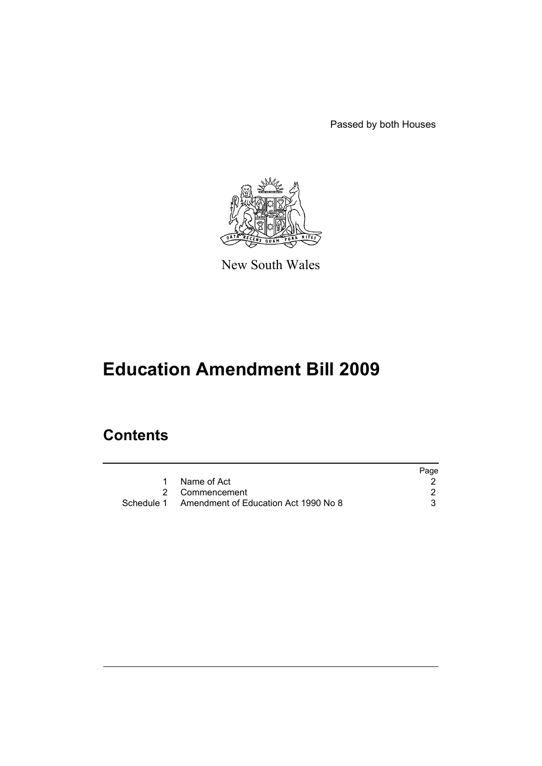Passed by both Houses



New South Wales

# **Education Amendment Bill 2009**

## **Contents**

|                                                 | Page |
|-------------------------------------------------|------|
| Name of Act                                     |      |
| 2 Commencement                                  |      |
| Schedule 1 Amendment of Education Act 1990 No 8 |      |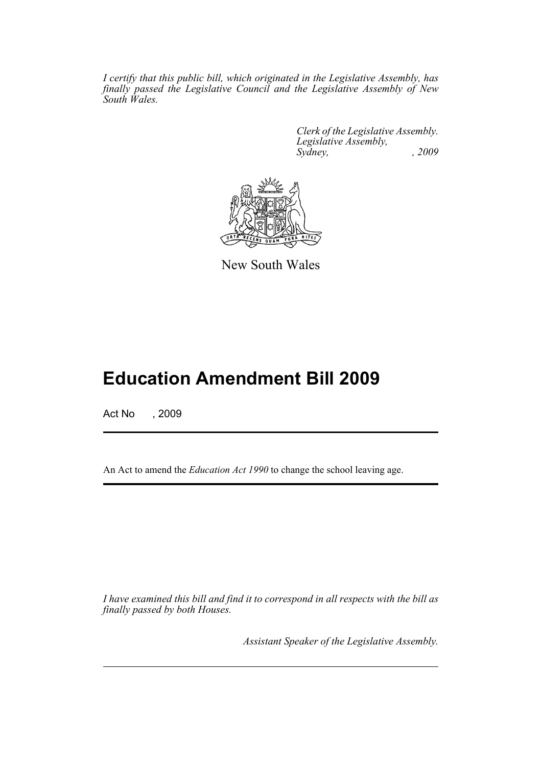*I certify that this public bill, which originated in the Legislative Assembly, has finally passed the Legislative Council and the Legislative Assembly of New South Wales.*

> *Clerk of the Legislative Assembly. Legislative Assembly, Sydney,* , 2009



New South Wales

## **Education Amendment Bill 2009**

Act No , 2009

An Act to amend the *Education Act 1990* to change the school leaving age.

*I have examined this bill and find it to correspond in all respects with the bill as finally passed by both Houses.*

*Assistant Speaker of the Legislative Assembly.*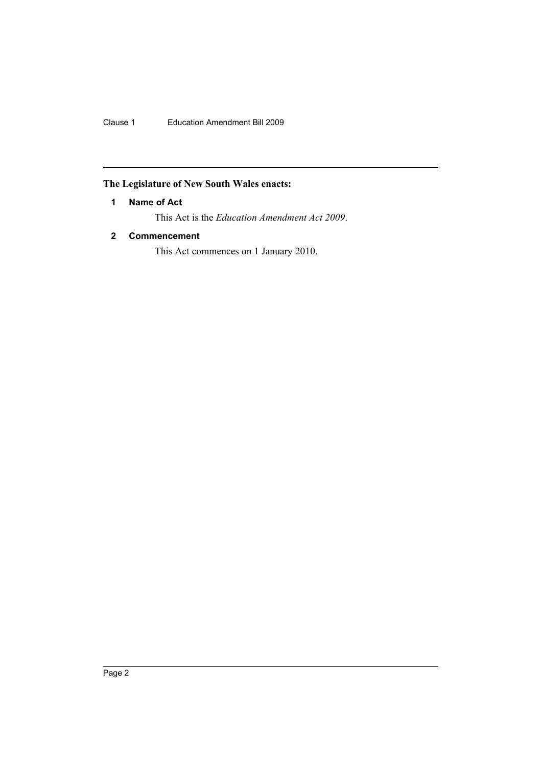Clause 1 Education Amendment Bill 2009

## <span id="page-3-0"></span>**The Legislature of New South Wales enacts:**

#### **1 Name of Act**

This Act is the *Education Amendment Act 2009*.

### <span id="page-3-1"></span>**2 Commencement**

This Act commences on 1 January 2010.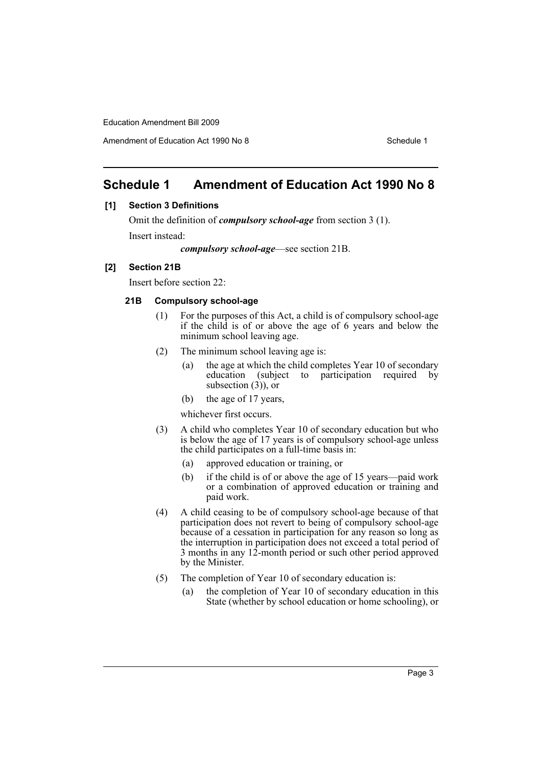## <span id="page-4-0"></span>**Schedule 1 Amendment of Education Act 1990 No 8**

#### **[1] Section 3 Definitions**

Omit the definition of *compulsory school-age* from section 3 (1). Insert instead:

*compulsory school-age*—see section 21B.

#### **[2] Section 21B**

Insert before section 22:

#### **21B Compulsory school-age**

- (1) For the purposes of this Act, a child is of compulsory school-age if the child is of or above the age of 6 years and below the minimum school leaving age.
- (2) The minimum school leaving age is:
	- (a) the age at which the child completes Year 10 of secondary education (subject to participation required by subsection  $(3)$ , or
	- (b) the age of 17 years,
	- whichever first occurs.
- (3) A child who completes Year 10 of secondary education but who is below the age of 17 years is of compulsory school-age unless the child participates on a full-time basis in:
	- (a) approved education or training, or
	- (b) if the child is of or above the age of 15 years—paid work or a combination of approved education or training and paid work.
- (4) A child ceasing to be of compulsory school-age because of that participation does not revert to being of compulsory school-age because of a cessation in participation for any reason so long as the interruption in participation does not exceed a total period of 3 months in any 12-month period or such other period approved by the Minister.
- (5) The completion of Year 10 of secondary education is:
	- (a) the completion of Year 10 of secondary education in this State (whether by school education or home schooling), or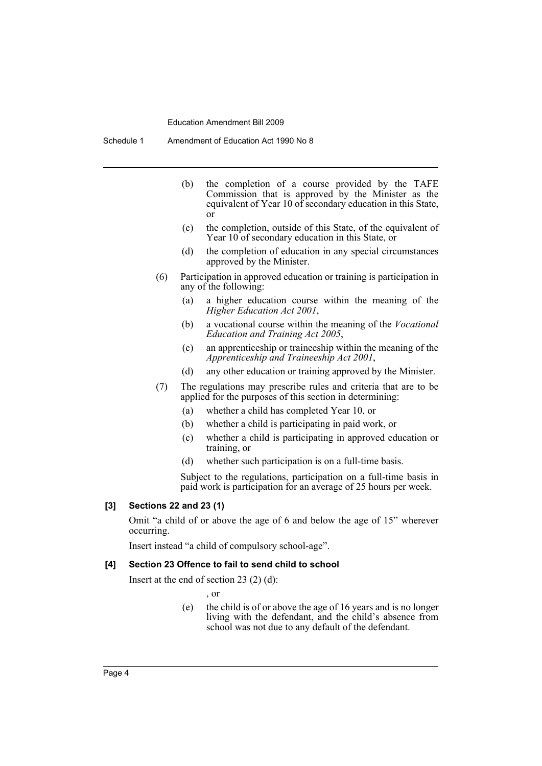Schedule 1 Amendment of Education Act 1990 No 8

- (b) the completion of a course provided by the TAFE Commission that is approved by the Minister as the equivalent of Year 10 of secondary education in this State, or
- (c) the completion, outside of this State, of the equivalent of Year 10 of secondary education in this State, or
- (d) the completion of education in any special circumstances approved by the Minister.
- (6) Participation in approved education or training is participation in any of the following:
	- (a) a higher education course within the meaning of the *Higher Education Act 2001*,
	- (b) a vocational course within the meaning of the *Vocational Education and Training Act 2005*,
	- (c) an apprenticeship or traineeship within the meaning of the *Apprenticeship and Traineeship Act 2001*,
	- (d) any other education or training approved by the Minister.
- (7) The regulations may prescribe rules and criteria that are to be applied for the purposes of this section in determining:
	- (a) whether a child has completed Year 10, or
	- (b) whether a child is participating in paid work, or
	- (c) whether a child is participating in approved education or training, or
	- (d) whether such participation is on a full-time basis.

Subject to the regulations, participation on a full-time basis in paid work is participation for an average of 25 hours per week.

#### **[3] Sections 22 and 23 (1)**

Omit "a child of or above the age of 6 and below the age of 15" wherever occurring.

Insert instead "a child of compulsory school-age".

#### **[4] Section 23 Offence to fail to send child to school**

Insert at the end of section 23 (2) (d):

- , or
- (e) the child is of or above the age of 16 years and is no longer living with the defendant, and the child's absence from school was not due to any default of the defendant.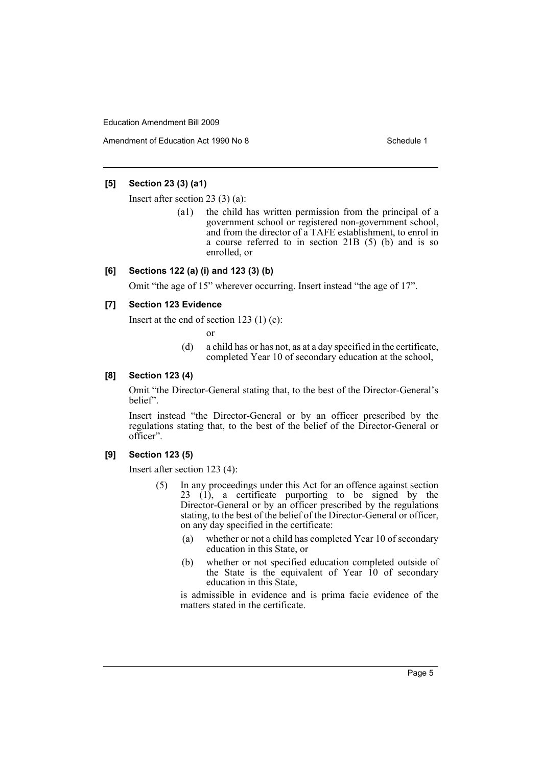Amendment of Education Act 1990 No 8 Schedule 1

#### **[5] Section 23 (3) (a1)**

Insert after section 23 (3) (a):

(a1) the child has written permission from the principal of a government school or registered non-government school, and from the director of a TAFE establishment, to enrol in a course referred to in section 21B (5) (b) and is so enrolled, or

#### **[6] Sections 122 (a) (i) and 123 (3) (b)**

Omit "the age of 15" wherever occurring. Insert instead "the age of 17".

#### **[7] Section 123 Evidence**

Insert at the end of section  $123$  (1) (c):

or

(d) a child has or has not, as at a day specified in the certificate, completed Year 10 of secondary education at the school,

#### **[8] Section 123 (4)**

Omit "the Director-General stating that, to the best of the Director-General's belief".

Insert instead "the Director-General or by an officer prescribed by the regulations stating that, to the best of the belief of the Director-General or officer".

#### **[9] Section 123 (5)**

Insert after section 123 (4):

- (5) In any proceedings under this Act for an offence against section 23 (1), a certificate purporting to be signed by the Director-General or by an officer prescribed by the regulations stating, to the best of the belief of the Director-General or officer, on any day specified in the certificate:
	- (a) whether or not a child has completed Year 10 of secondary education in this State, or
	- (b) whether or not specified education completed outside of the State is the equivalent of Year  $10$  of secondary education in this State,

is admissible in evidence and is prima facie evidence of the matters stated in the certificate.